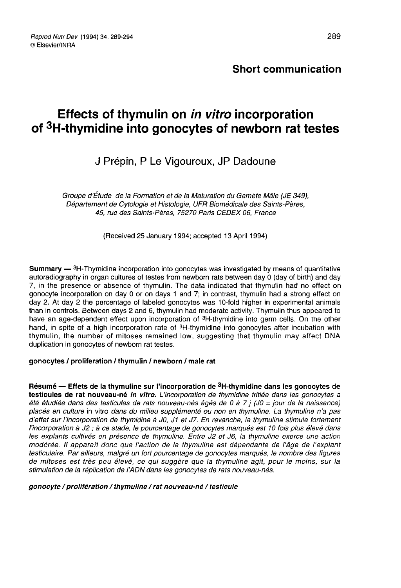## Short communication

# Effects of thymulin on in vitro incorporation *Reprod Nutr Dev* (1994) 34, 289-294<br>
© Elsevier/INRA<br> **CEFECTS of thymulin on** *in vitro* **incorporation<br>
of <sup>3</sup>H-thymidine into gonocytes of newborn rat testes**

# J Prépin, P Le Vigouroux JP Dadoune

Groupe d'Étude de la Formation et de la Maturation du Gamète Mâle (JE 349), Département de Cytologie et Histologie, UFR Biomédicale des Saints-Pères, 45, rue des Saints-Pères, 75270 Paris CEDEX 06, France

(Received 25 January 1994; accepted 13 April 1994)

(Received 25 January 1994; accepted 13 April 1994)<br>
Summary — <sup>3</sup>H-Thymidine incorporation into gonocytes was investigated by means of quantitative<br>
autoradiography in organ cultures of testes from newborn rats between day 7, in the presence or absence of thymulin. The data indicated that thymulin had no effect on gonocyte incorporation on day 0 or on days 1 and 7; in contrast, thymulin had a strong effect on day 2. At day 2 the percentage of labeled gonocytes was 10-fold higher in experimental animals than in controls. Between days 2 and 6, thymulin had moderate activity. Thymulin thus appeared to **Summary**  $\rightarrow$  -1-1-11) mathe into polacion into gonocytes was investigated by means of quantitative autoradiography in organ cultures of testes from newborn rats between day 0 (day of birth) and day 7, in the presence or and, in the presence or absence of thymulin. The data indicated that thymulin had no effect or gonocyte incorporation on day 0 or on days 1 and 7; in contrast, thymulin had no effect or day 2. At day 2 the percentage of la thymulin, the number of mitoses remained low, suggesting that thymulin may affect DNA duplication in gonocytes of newborn rat testes.

### gonocytes / proliferation / thymulin / newborn / male rat

Résumé — Effets de la thymuline sur l'incorporation de <sup>3</sup>H-thymidine dans les gonocytes de testicules de rat nouveau-né in vitro. L'incorporation de thymidine tritiée dans les gonocytes a été étudiée dans des testicules de rats nouveau-nés âgés de 0 à 7 j (JO = jour de la naissance) placés en culture in vitro dans du milieu supplémenté ou non en thymuline. La thymuline n'a pas d'effet sur l'incorporation de thymidine à JO, J1 et J7. En revanche, la thymuline stimule fortement l'incorporation à J2 ; à ce stade, le pourcentage de gonocytes marqués est 10 fois plus élevé dans les explants cultivés en présence de thymuline. Entre J2 et J6, la thymuline exerce une action modérée. Il apparaît donc que l'action de la thymuline est dépendante de l'âge de l'expiant testiculaire. Par ailleurs, malgré un fort pourcentage de gonocytes marqués, le nombre des figures de mitoses est très peu élevé, ce qui suggère que la thymuline agit, pour le moins, sur la stimulation de la réplication de l'ADN dans les gonocytes de rats nouveau-nés.

### gonocyte / prolifération / thymuline / rat nouveau-né / testicule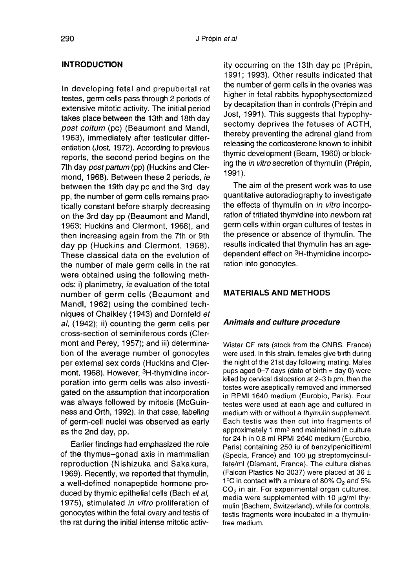### INTRODUCTION

In developing fetal and prepubertal rat testes, germ cells pass through 2 periods of extensive mitotic activity. The initial period takes place between the 13th and 18th day post coitum (pc) (Beaumont and Mandl, 1963), immediately after testicular differentiation (Jost, 1972). According to previous reports, the second period begins on the 7th day *post partum* (pp) (Huckins and Clermond, 1968). Between these 2 periods, ie between the 19th day pc and the 3rd day pp, the number of germ cells remains practically constant before sharply decreasing on the 3rd day pp (Beaumont and Mandl, 1963; Huckins and Clermont, 1968), and then increasing again from the 7th or 9th day pp (Huckins and Clermont, 1968). These classical data on the evolution of the number of male germ cells in the rat were obtained using the following methods: i) planimetry, ie evaluation of the total number of germ cells (Beaumont and Mandl, 1962) using the combined techniques of Chalkley (1943) and Dornfeld et al, (1942); ii) counting the germ cells per cross-section of seminiferous cords (Cler mont and Perey, 1957); and iii) determination of the average number of gonocytes per external sex cords (Huckins and Clermont, 1968). However, 3H-thymidine incorporation into germ cells was also investigated on the assumption that incorporation was always followed by mitosis (McGuin ness and Orth, 1992). In that case, labeling of germ-cell nuclei was observed as early as the 2nd day, pp.

Earlier findings had emphasized the role of the thymus-gonad axis in mammalian reproduction (Nishizuka and Sakakura, 1969). Recently, we reported that thymulin, a well-defined nonapeptide hormone produced by thymic epithelial cells (Bach et al, 1975), stimulated in vitro proliferation of gonocytes within the fetal ovary and testis of the rat during the initial intense mitotic activity occurring on the 13th day pc (Prépin, 1991; 1993). Other results indicated that the number of germ cells in the ovaries was higher in fetal rabbits hypophysectomized by decapitation than in controls (Prépin and Jost, 1991). This suggests that hypophysectomy deprives the fetuses of ACTH, thereby preventing the adrenal gland from releasing the corticosterone known to inhibit thymic development (Beam, 1960) or blocking the in vitro secretion of thymulin (Prépin, 1991 ).

The aim of the present work was to use quantitative autoradiography to investigate the effects of thymulin on *in vitro* incorpo-<br>ration of tritiated thymidine into newborn rat<br>germ cells within organ cultures of testes in<br>the presence or absence of thymulin. The<br>results indicated that thymulin has an ag ration of tritiated thymidine into newborn rat germ cells within organ cultures of testes in the presence or absence of thymulin. The results indicated that thymulin has an age-<br>dependent effect on <sup>3</sup>H-thymidine incorporation into gonocytes.

### MATERIALS AND METHODS

### Animals and culture procedure

Wistar CF rats (stock from the CNRS, France) were used. In this strain, females give birth during the night of the 21st day following mating. Males pups aged 0-7 days (date of birth = day 0) were killed by cervical dislocation at 2-3 h pm, then the testes were aseptically removed and immersed in RPMI 1640 medium (Eurobio, Paris). Four testes were used at each age and cultured in medium with or without a thymulin supplement. Each testis was then cut into fragments of approximately 1 mm<sup>3</sup> and maintained in culture for 24 h in 0.8 ml RPMI 2640 medium (Eurobio, Paris) containing 250 iu of benzylpenicillin/ml (Specia, France) and 100 wg streptomycinsulfate/ml (Diamant, France). The culture dishes (Falcon Plastics No 3037) were placed at 36  $\pm$ 1 $\degree$ C in contact with a mixure of 80%  $O_2$  and 5%  $CO<sub>2</sub>$  in air. For experimental organ cultures, media were supplemented with 10  $\mu$ g/ml thymulin (Bachem, Switzerland), while for controls, testis fragments were incubated in a thymulinfree medium.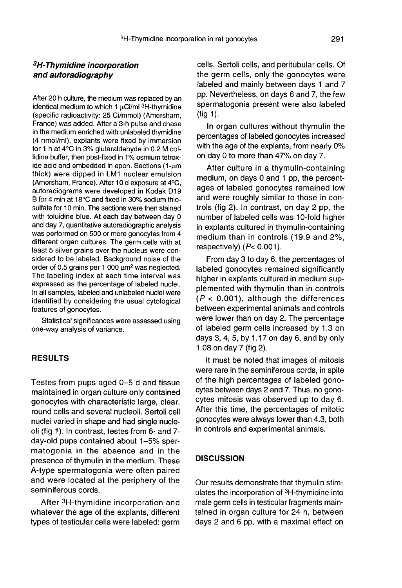# <sup>3</sup>H-Th<br>**3H-Thymidine incorporation**<br>and autoradiography and autoradiography

After 20 h culture, the medium was replaced by an <sup>3</sup>H-Thymidine incorporation<br>
and autoradiography<br>
After 20 h culture, the medium was replaced by an<br>
identical medium to which 1  $\mu$ Ci/ml <sup>3</sup>H-thymidine (specific radioactivity: 25 Ci/mmol) (Amersham, France) was added. After a 3-h pulse and chase in the medium enriched with unlabeled thymidine (4 nmol/ml), explants were fixed by immersion for 1 h at 4°C in 3% glutaraldehyde in 0.2 M collidine buffer, then post-fixed in 1% osmium tetroxide acid and embedded in epon. Sections  $(1-\mu m)$ thick) were dipped in LM1 nuclear emulsion (Amersham, France). After 10 d exposure at 4°C, autoradiograms were developed in Kodak D19 B for 4 min at 18°C and fixed in 30% sodium thiosulfate for 10 min. The sections were then stained with toluidine blue. At each day between day 0 and day 7, quantitative autoradiographic analysis was performed on 500 or more gonocytes from 4 different organ cultures. The germ cells with at least 5 silver grains over the nucleus were considered to be labeled. Background noise of the order of 0.5 grains per 1 000  $\mu$ m<sup>2</sup> was neglected. The labeling index at each time interval was expressed as the percentage of labeled nuclei. In all samples, labeled and unlabeled nuclei were identified by considering the usual cytological features of gonocytes.

Statistical significances were assessed using one-way analysis of variance.

### RESULTS

Testes from pups aged 0-5 d and tissue maintained in organ culture only contained gonocytes with characteristic large, clear, round cells and several nucleoli. Sertoli cell nuclei varied in shape and had single nucleoli (fig 1). In contrast, testes from 6- and 7day-old pups contained about 1-5% spermatogonia in the absence and in the presence of thymulin in the medium. These A-type spermatogonia were often paired and were located at the periphery of the seminiferous cords. After 3H-thymidine incorporation and in the sence of thymulin in the medium. These<br>the sence of thymulin in the medium. These<br>type spermatogonia were often paired<br>d were located at the periphery of the<br>miniferous cords.<br>Af

whatever the age of the explants, different types of testicular cells were labeled: germ cells, Sertoli cells, and peritubular cells. Of the germ cells, only the gonocytes were labeled and mainly between days 1 and 7 pp. Nevertheless, on days 6 and 7, the few spermatogonia present were also labeled  $(fia 1)$ .

In organ cultures without thymulin the percentages of labeled gonocytes increased with the age of the explants, from nearly 0% on day 0 to more than 47% on day 7.

After culture in a thymulin-containing medium, on days 0 and 1 pp, the percentages of labeled gonocytes remained low and were roughly similar to those in controls (fig 2). In contrast, on day 2 pp, the number of labeled cells was 10-fold higher in explants cultured in thymulin-containing medium than in controls (19.9 and 2%, respectively)  $(P< 0.001)$ .

From day 3 to day 6, the percentages of labeled gonocytes remained significantly higher in explants cultured in medium supplemented with thymulin than in controls  $(P < 0.001)$ , although the differences between experimental animals and controls were lower than on day 2. The percentage of labeled germ cells increased by 1.3 on days 3, 4, 5, by 1.17 on day 6, and by only 1.08 on day 7 (fig 2).

It must be noted that images of mitosis were rare in the seminiferous cords, in spite of the high percentages of labeled gonocytes between days 2 and 7. Thus, no gonocytes mitosis was observed up to day 6. After this time, the percentages of mitotic gonocytes were always lower than 4.3, both in controls and experimental animals.

### **DISCUSSION**

Our results demonstrate that thymulin stim-<br>ulates the incorporation of <sup>3</sup>H-thymidine into **DISCUSSION**<br>Our results demonstrate that thymulin stim-<br>ulates the incorporation of <sup>3</sup>H-thymidine into<br>male germ cells in testicular fragments maintained in organ culture for 24 h, between days 2 and 6 pp, with a maximal effect on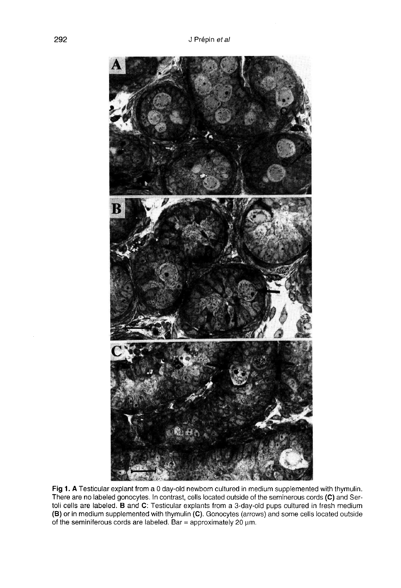

Fig 1. A Testicular explant from a 0 day-old newborn cultured in medium supplemented with thymulin. There are no labeled gonocytes. In contrast, cells located outside of the seminerous cords (C) and Sertoli cells are labeled. B and C: Testicular explants from a 3-day-old pups cultured in fresh medium (B) or in medium supplemented with thymulin (C). Gonocytes (arrows) and some cells located outside of the seminiferous cords are labeled. Bar = approximately 20  $\mu$ m.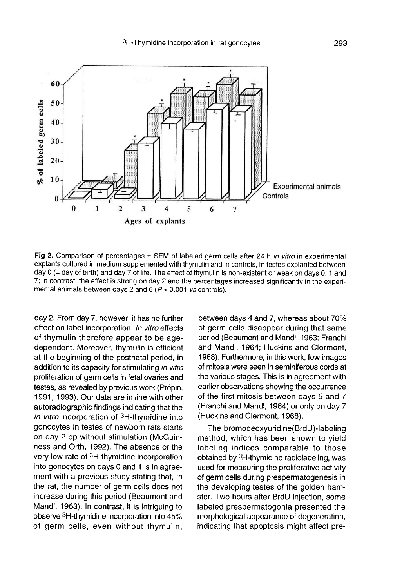

Fig 2. Comparison of percentages  $\pm$  SEM of labeled germ cells after 24 h in vitro in experimental explants cultured in medium supplemented with thymulin and in controls, in testes explanted between day 0 (= day of birth) and day 7 of life. The effect of thymulin is non-existent or weak on days 0, 1 and 7; in contrast, the effect is strong on day 2 and the percentages increased significantly in the experimental animals between days 2 and 6 ( $P < 0.001$  vs controls).

day 2. From day 7, however, it has no further effect on label incorporation. In vitro effects of thymulin therefore appear to be agedependent. Moreover, thymulin is efficient at the beginning of the postnatal period, in addition to its capacity for stimulating in vitro proliferation of germ cells in fetal ovaries and testes, as revealed by previous work (Prépin, 1991; 1993). Our data are in line with other autoradiographic findings indicating that the in vitro incorporation of 3H-thymidine into gonocytes in testes of newborn rats starts on day 2 pp without stimulation (McGuin ness and Orth, 1992). The absence or the very low rate of 3H-thymidine incorporation into gonocytes on days 0 and 1 is in agreement with a previous study stating that, in the rat, the number of germ cells does not increase during this period (Beaumont and Mandl, 1963). In contrast, it is intriguing to into gonocytes on days 0 and 1 is in agreement with a previous study stating that, in<br>the rat, the number of germ cells does not<br>increase during this period (Beaumont and<br>Mandl, 1963). In contrast, it is intriguing to<br>obse of germ cells, even without thymulin,

between days 4 and 7, whereas about 70% of germ cells disappear during that same period (Beaumont and Mandl, 1963; Franchi and Mandl, 1964; Huckins and Clermont, 1968). Furthermore, in this work, few images of mitosis were seen in seminiferous cords at the various stages. This is in agreement with earlier observations showing the occurrence of the first mitosis between days 5 and 7 (Franchi and Mandl, 1964) or only on day 7 (Huckins and Clermont, 1968).

The bromodeoxyuridine(BrdU)-labeling method, which has been shown to yield labeling indices comparable to those obtained by  $3H$ -thymidine radiolabeling, was (Franchi and Mandl, 1964) or only on day 7<br>(Huckins and Clermont, 1968).<br>The bromodeoxyuridine (BrdU)-labeling<br>method, which has been shown to yield<br>labeling indices comparable to those<br>obtained by <sup>3</sup>H-thymidine radiolabe of germ cells during prespermatogenesis in the developing testes of the golden hamster. Two hours after BrdU injection, some labeled prespermatogonia presented the morphological appearance of degeneration, indicating that apoptosis might affect pre-